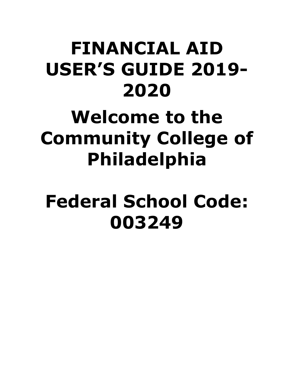# **FINANCIAL AID USER'S GUIDE 2019- 2020**

# **Welcome to the Community College of Philadelphia**

# **Federal School Code: 003249**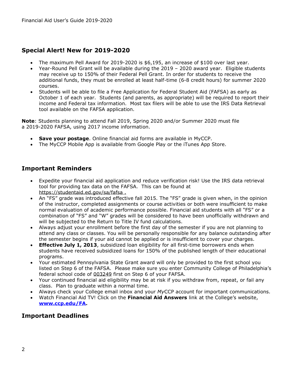# **Special Alert! New for 2019-2020**

- The maximum Pell Award for 2019-2020 is \$6,195, an increase of \$100 over last year.
- Year-Round Pell Grant will be available during the 2019 2020 award year. Eligible students may receive up to 150% of their Federal Pell Grant. In order for students to receive the additional funds, they must be enrolled at least half-time (6-8 credit hours) for summer 2020 courses.
- Students will be able to file a Free Application for Federal Student Aid (FAFSA) as early as October 1 of each year. Students (and parents, as appropriate) will be required to report their income and Federal tax information. Most tax filers will be able to use the IRS Data Retrieval tool available on the FAFSA application.

**Note**: Students planning to attend Fall 2019, Spring 2020 and/or Summer 2020 must file a 2019-2020 FAFSA, using 2017 income information.

- **Save your postage**. Online financial aid forms are available in MyCCP.
- The MyCCP Mobile App is available from Google Play or the iTunes App Store.

## **Important Reminders**

- Expedite your financial aid application and reduce verification risk! Use the IRS data retrieval tool for providing tax data on the FAFSA. This can be found at <https://studentaid.ed.gov/sa/fafsa> .
- An "FS" grade was introduced effective fall 2015. The "FS" grade is given when, in the opinion of the instructor, completed assignments or course activities or both were insufficient to make normal evaluation of academic performance possible. Financial aid students with all "FS" or a combination of "FS" and "W" grades will be considered to have been unofficially withdrawn and will be subjected to the Return to Title IV fund calculations.
- Always adjust your enrollment before the first day of the semester if you are not planning to attend any class or classes. You will be personally responsible for any balance outstanding after the semester begins if your aid cannot be applied or is insufficient to cover your charges.
- **Effective July 1, 2013**, subsidized loan eligibility for all first-time borrowers ends when students have received subsidized loans for 150% of the published length of their educational programs.
- Your estimated Pennsylvania State Grant award will only be provided to the first school you listed on Step 6 of the FAFSA. Please make sure you enter Community College of Philadelphia's federal school code of 003249 first on Step 6 of your FAFSA.
- Your continued financial aid eligibility may be at risk if you withdraw from, repeat, or fail any class. Plan to graduate within a normal time.
- Always check your College email inbox and your *My*CCP account for important communications.
- Watch Financial Aid TV! Click on the **Financial Aid Answers** link at the College's website, **[www.ccp.edu/FA.](http://www.ccp.edu/FA)**

## **Important Deadlines**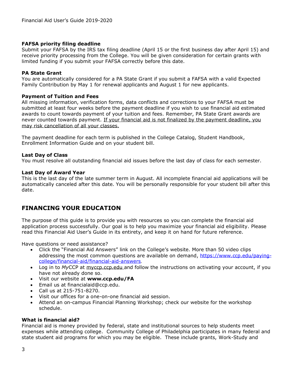## **FAFSA priority filing deadline**

Submit your FAFSA by the IRS tax filing deadline (April 15 or the first business day after April 15) and receive priority processing from the College. You will be given consideration for certain grants with limited funding if you submit your FAFSA correctly before this date.

## **PA State Grant**

You are automatically considered for a PA State Grant if you submit a FAFSA with a valid Expected Family Contribution by May 1 for renewal applicants and August 1 for new applicants.

#### **Payment of Tuition and Fees**

All missing information, verification forms, data conflicts and corrections to your FAFSA must be submitted at least four weeks before the payment deadline if you wish to use financial aid estimated awards to count towards payment of your tuition and fees. Remember, PA State Grant awards are never counted towards payment. If your financial aid is not finalized by the payment deadline, you may risk cancellation of all your classes.

The payment deadline for each term is published in the College Catalog, Student Handbook, Enrollment Information Guide and on your student bill.

#### **Last Day of Class**

You must resolve all outstanding financial aid issues before the last day of class for each semester.

#### **Last Day of Award Year**

This is the last day of the late summer term in August. All incomplete financial aid applications will be automatically canceled after this date. You will be personally responsible for your student bill after this date.

# **FINANCING YOUR EDUCATION**

The purpose of this guide is to provide you with resources so you can complete the financial aid application process successfully. Our goal is to help you maximize your financial aid eligibility. Please read this Financial Aid User's Guide in its entirety, and keep it on hand for future reference.

Have questions or need assistance?

- Click the "Financial Aid Answers" link on the College's website. More than 50 video clips addressing the most common questions are available on demand, [https://www.ccp.edu/paying](https://www.ccp.edu/paying-college/financial-aid/financial-aid-answers)[college/financial-aid/financial-aid-answers](https://www.ccp.edu/paying-college/financial-aid/financial-aid-answers).
- Log in to *My*CCP at myccp.ccp.edu and follow the instructions on activating your account, if you have not already done so.
- Visit our website at **[www.ccp.edu/](http://www.ccp.edu/)FA**
- Email us at financialaid@ccp.edu.
- Call us at 215-751-8270.
- Visit our offices for a one-on-one financial aid session.
- Attend an on-campus Financial Planning Workshop; check our website for the workshop schedule.

#### **What is financial aid?**

Financial aid is money provided by federal, state and institutional sources to help students meet expenses while attending college. Community College of Philadelphia participates in many federal and state student aid programs for which you may be eligible. These include grants, Work-Study and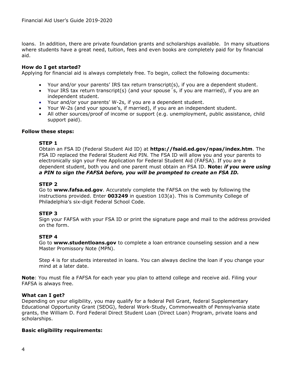loans. In addition, there are private foundation grants and scholarships available. In many situations where students have a great need, tuition, fees and even books are completely paid for by financial aid.

## **How do I get started?**

Applying for financial aid is always completely free. To begin, collect the following documents:

- Your and/or your parents' IRS tax return transcript(s), if you are a dependent student.
- Your IRS tax return transcript(s) (and your spouse´s, if you are married), if you are an independent student.
- Your and/or your parents' W-2s, if you are a dependent student.
- Your W-2s (and your spouse's, if married), if you are an independent student.
- All other sources/proof of income or support (e.g. unemployment, public assistance, child support paid).

#### **Follow these steps:**

#### **STEP 1**

Obtain an FSA ID (Federal Student Aid ID) at **<https://fsaid.ed.gov/npas/index.htm>**. The FSA ID replaced the Federal Student Aid PIN. The FSA ID will allow you and your parents to electronically sign your Free Application for Federal Student Aid (FAFSA). If you are a dependent student, both you and one parent must obtain an FSA ID. **Note:** *if you were using a PIN to sign the FAFSA before, you will be prompted to create an FSA ID.*

#### **STEP 2**

Go to **[www.fafsa.ed.gov](http://www.fafsa.ed.gov/)**. Accurately complete the FAFSA on the web by following the instructions provided. Enter **003249** in question 103(a). This is Community College of Philadelphia's six-digit Federal School Code.

#### **STEP 3**

Sign your FAFSA with your FSA ID or print the signature page and mail to the address provided on the form.

#### **STEP 4**

Go to **[www.studentloans.gov](http://www.studentloans.gov/)** to complete a loan entrance counseling session and a new Master Promissory Note (MPN).

Step 4 is for students interested in loans. You can always decline the loan if you change your mind at a later date.

**Note**: You must file a FAFSA for each year you plan to attend college and receive aid. Filing your FAFSA is always free.

#### **What can I get?**

Depending on your eligibility, you may qualify for a federal Pell Grant, federal Supplementary Educational Opportunity Grant (SEOG), federal Work-Study, Commonwealth of Pennsylvania state grants, the William D. Ford Federal Direct Student Loan (Direct Loan) Program, private loans and scholarships.

#### **Basic eligibility requirements:**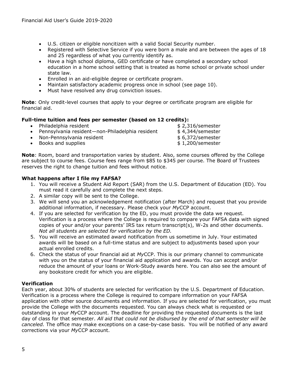- U.S. citizen or eligible noncitizen with a valid Social Security number.
- Registered with Selective Service if you were born a male and are between the ages of 18 and 25 regardless of what you currently identify as.
- Have a high school diploma, GED certificate or have completed a secondary school education in a home school setting that is treated as home school or private school under state law.
- Enrolled in an aid-eligible degree or certificate program.
- Maintain satisfactory academic progress once in school (see page 10).
- Must have resolved any drug conviction issues.

**Note**: Only credit-level courses that apply to your degree or certificate program are eligible for financial aid.

## **Full-time tuition and fees per semester (based on 12 credits):**

- Philadelphia resident the state of the state of the state of the state of the state of the state of the state of the state of the state of the state of the state of the state of the state of the state of the state of the
- Pennsylvania resident-non-Philadelphia resident \$ 4,344/semester
- Non-Pennsylvania resident  $$ 6,372/s$ emester
- Books and supplies by the set of the set of the set of the set of the set of the set of the set of the set of the set of the set of the set of the set of the set of the set of the set of the set of the set of the set of

**Note**: Room, board and transportation varies by student. Also, some courses offered by the College are subject to course fees. Course fees range from \$85 to \$345 per course. The Board of Trustees reserves the right to change tuition and fees without notice.

## **What happens after I file my FAFSA?**

- 1. You will receive a Student Aid Report (SAR) from the U.S. Department of Education (ED). You must read it carefully and complete the next steps.
- 2. A similar copy will be sent to the College.
- 3. We will send you an acknowledgement notification (after March) and request that you provide additional information, if necessary. Please check your *My*CCP account.
- 4. If you are selected for verification by the ED, you must provide the data we request. Verification is a process where the College is required to compare your FAFSA data with signed copies of your and/or your parents' IRS tax return transcript(s), W-2s and other documents. *Not all students are selected for verification by the ED.*
- 5. You will receive an estimated award notification from us sometime in July. Your estimated awards will be based on a full-time status and are subject to adjustments based upon your actual enrolled credits.
- 6. Check the status of your financial aid at *My*CCP. This is our primary channel to communicate with you on the status of your financial aid application and awards. You can accept and/or reduce the amount of your loans or Work-Study awards here. You can also see the amount of any bookstore credit for which you are eligible.

## **Verification**

Each year, about 30% of students are selected for verification by the U.S. Department of Education. Verification is a process where the College is required to compare information on your FAFSA application with other source documents and information. If you are selected for verification, you must provide the College with the documents requested. You can always check what is requested or outstanding in your *My*CCP account. The deadline for providing the requested documents is the last day of class for that semester. *All aid that could not be disbursed by the end of that semester will be canceled.* The office may make exceptions on a case-by-case basis. You will be notified of any award corrections via your *My*CCP account.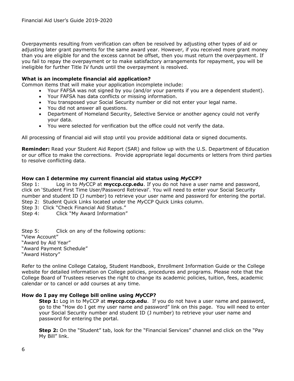Overpayments resulting from verification can often be resolved by adjusting other types of aid or adjusting later grant payments for the same award year. However, if you received more grant money than you are eligible for and the excess cannot be offset, then you must return the overpayment. If you fail to repay the overpayment or to make satisfactory arrangements for repayment, you will be ineligible for further Title IV funds until the overpayment is resolved.

#### **What is an incomplete financial aid application?**

Common items that will make your application incomplete include:

- Your FAFSA was not signed by you (and/or your parents if you are a dependent student).
- Your FAFSA has data conflicts or missing information.
- You transposed your Social Security number or did not enter your legal name.
- You did not answer all questions.
- Department of Homeland Security, Selective Service or another agency could not verify your data.
- You were selected for verification but the office could not verify the data.

All processing of financial aid will stop until you provide additional data or signed documents.

**Reminder:** Read your Student Aid Report (SAR) and follow up with the U.S. Department of Education or our office to make the corrections. Provide appropriate legal documents or letters from third parties to resolve conflicting data.

#### **How can I determine my current financial aid status using** *My***CCP?**

Step 1: Log in to *My*CCP at **myccp.ccp.edu**. If you do not have a user name and password, click on 'Student First Time User/Password Retrieval'. You will need to enter your Social Security number and student ID (J number) to retrieve your user name and password for entering the portal. Step 2: Student Quick Links located under the *My*CCP Quick Links column.

Step 3: Click "Check Financial Aid Status."

Step 4: Click "My Award Information"

Step 5: Click on any of the following options: "View Account" "Award by Aid Year" "Award Payment Schedule" "Award History"

Refer to the online College Catalog, Student Handbook, Enrollment Information Guide or the College website for detailed information on College policies, procedures and programs. Please note that the College Board of Trustees reserves the right to change its academic policies, tuition, fees, academic calendar or to cancel or add courses at any time.

#### **How do I pay my College bill online using** *My***CCP?**

**Step 1:** Log in to MyCCP at **myccp.ccp.edu**. If you do not have a user name and password, go to the "How do I get my user name and password" link on this page. You will need to enter your Social Security number and student ID (J number) to retrieve your user name and password for entering the portal.

**Step 2:** On the "Student" tab, look for the "Financial Services" channel and click on the "Pay My Bill" link.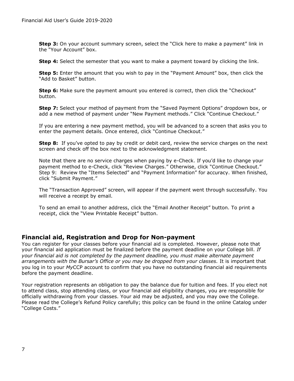**Step 3:** On your account summary screen, select the "Click here to make a payment" link in the "Your Account" box.

**Step 4:** Select the semester that you want to make a payment toward by clicking the link.

**Step 5:** Enter the amount that you wish to pay in the "Payment Amount" box, then click the "Add to Basket" button.

**Step 6:** Make sure the payment amount you entered is correct, then click the "Checkout" button.

**Step 7:** Select your method of payment from the "Saved Payment Options" dropdown box, or add a new method of payment under "New Payment methods." Click "Continue Checkout."

If you are entering a new payment method, you will be advanced to a screen that asks you to enter the payment details. Once entered, click "Continue Checkout."

**Step 8:** If you've opted to pay by credit or debit card, review the service charges on the next screen and check off the box next to the acknowledgment statement.

Note that there are no service charges when paying by e-Check. If you'd like to change your payment method to e-Check, click "Review Charges." Otherwise, click "Continue Checkout." Step 9: Review the "Items Selected" and "Payment Information" for accuracy. When finished, click "Submit Payment."

The "Transaction Approved" screen, will appear if the payment went through successfully. You will receive a receipt by email.

To send an email to another address, click the "Email Another Receipt" button. To print a receipt, click the "View Printable Receipt" button.

## **Financial aid, Registration and Drop for Non-payment**

You can register for your classes before your financial aid is completed. However, please note that your financial aid application must be finalized before the payment deadline on your College bill. *If your financial aid is not completed by the payment deadline, you must make alternate payment arrangements with the Bursar's Office or you may be dropped from your classes.* It is important that you log in to your *My*CCP account to confirm that you have no outstanding financial aid requirements before the payment deadline.

Your registration represents an obligation to pay the balance due for tuition and fees. If you elect not to attend class, stop attending class, or your financial aid eligibility changes, you are responsible for officially withdrawing from your classes. Your aid may be adjusted, and you may owe the College. Please read the College's Refund Policy carefully; this policy can be found in the online Catalog under "College Costs."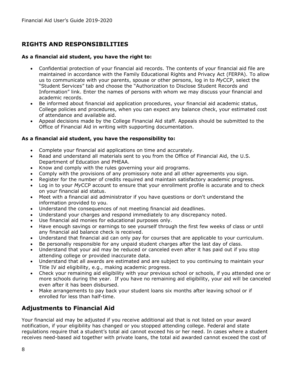# **RIGHTS AND RESPONSIBILITIES**

## **As a financial aid student, you have the right to:**

- Confidential protection of your financial aid records. The contents of your financial aid file are maintained in accordance with the Family Educational Rights and Privacy Act (FERPA). To allow us to communicate with your parents, spouse or other persons, log in to *My*CCP, select the "Student Services" tab and choose the "Authorization to Disclose Student Records and Information" link. Enter the names of persons with whom we may discuss your financial and academic records.
- Be informed about financial aid application procedures, your financial aid academic status, College policies and procedures, when you can expect any balance check, your estimated cost of attendance and available aid.
- Appeal decisions made by the College Financial Aid staff. Appeals should be submitted to the Office of Financial Aid in writing with supporting documentation.

## **As a financial aid student, you have the responsibility to:**

- Complete your financial aid applications on time and accurately.
- Read and understand all materials sent to you from the Office of Financial Aid, the U.S. Department of Education and PHEAA.
- Know and comply with the rules governing your aid programs.
- Comply with the provisions of any promissory note and all other agreements you sign.
- Register for the number of credits required and maintain satisfactory academic progress.
- Log in to your *My*CCP account to ensure that your enrollment profile is accurate and to check on your financial aid status.
- Meet with a financial aid administrator if you have questions or don't understand the information provided to you.
- Understand the consequences of not meeting financial aid deadlines.
- Understand your charges and respond immediately to any discrepancy noted.
- Use financial aid monies for educational purposes only.
- Have enough savings or earnings to see yourself through the first few weeks of class or until any financial aid balance check is received.
- Understand that financial aid can only pay for courses that are applicable to your curriculum.
- Be personally responsible for any unpaid student charges after the last day of class.
- Understand that your aid may be reduced or canceled even after it has paid out if you stop attending college or provided inaccurate data.
- Understand that all awards are estimated and are subject to you continuing to maintain your Title IV aid eligibility, e.g., making academic progress.
- Check your remaining aid eligibility with your previous school or schools, if you attended one or more schools during the year. If you have no remaining aid eligibility, your aid will be canceled even after it has been disbursed.
- Make arrangements to pay back your student loans six months after leaving school or if enrolled for less than half-time.

# **Adjustments to Financial Aid**

Your financial aid may be adjusted if you receive additional aid that is not listed on your award notification, if your eligibility has changed or you stopped attending college. Federal and state regulations require that a student's total aid cannot exceed his or her need. In cases where a student receives need-based aid together with private loans, the total aid awarded cannot exceed the cost of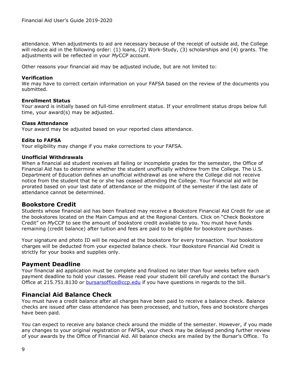attendance. When adjustments to aid are necessary because of the receipt of outside aid, the College will reduce aid in the following order: (1) loans, (2) Work-Study, (3) scholarships and (4) grants. The adjustments will be reflected in your *My*CCP account.

Other reasons your financial aid may be adjusted include, but are not limited to:

#### **Verification**

We may have to correct certain information on your FAFSA based on the review of the documents you submitted.

#### **Enrollment Status**

Your award is initially based on full-time enrollment status. If your enrollment status drops below full time, your award(s) may be adjusted.

#### **Class Attendance**

Your award may be adjusted based on your reported class attendance.

#### **Edits to FAFSA**

Your eligibility may change if you make corrections to your FAFSA.

#### **Unofficial Withdrawals**

When a financial aid student receives all failing or incomplete grades for the semester, the Office of Financial Aid has to determine whether the student unofficially withdrew from the College. The U.S. Department of Education defines an unofficial withdrawal as one where the College did not receive notice from the student that he or she has ceased attending the College. Your financial aid will be prorated based on your last date of attendance or the midpoint of the semester if the last date of attendance cannot be determined.

## **Bookstore Credit**

Students whose financial aid has been finalized may receive a Bookstore Financial Aid Credit for use at the bookstores located on the Main Campus and at the Regional Centers. Click on "Check Bookstore Credit" on *My*CCP to see the amount of bookstore credit available to you. You must have funds remaining (credit balance) after tuition and fees are paid to be eligible for bookstore purchases.

Your signature and photo ID will be required at the bookstore for every transaction. Your bookstore charges will be deducted from your expected balance check. Your Bookstore Financial Aid Credit is strictly for your books and supplies only.

## **Payment Deadline**

Your financial aid application must be complete and finalized no later than four weeks before each payment deadline to hold your classes. Please read your student bill carefully and contact the Bursar's Office at 215.751.8130 or [bursarsoffice@ccp.edu](mailto:bursarsoffice@ccp.edu) if you have questions in regards to the bill.

## **Financial Aid Balance Check**

You must have a credit balance after all charges have been paid to receive a balance check. Balance checks are issued after class attendance has been processed, and tuition, fees and bookstore charges have been paid.

You can expect to receive any balance check around the middle of the semester. However, if you made any changes to your original registration or FAFSA, your check may be delayed pending further review of your awards by the Office of Financial Aid. All balance checks are mailed by the Bursar's Office. To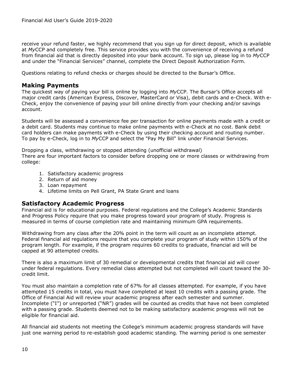receive your refund faster, we highly recommend that you sign up for direct deposit, which is available at *My*CCP and completely free. This service provides you with the convenience of receiving a refund from financial aid that is directly deposited into your bank account. To sign up, please log in to *My*[CCP](http://www.ccp.edu/MyCCP/Login/) and under the "Financial Services" channel, complete the Direct Deposit Authorization Form.

Questions relating to refund checks or charges should be directed to the Bursar's Office.

# **Making Payments**

The quickest way of paying your bill is online by logging into *My*[CCP.](http://www.ccp.edu/MyCCP/Login/) The Bursar's Office accepts all major credit cards (American Express, Discover, MasterCard or Visa), debit cards and e-Check. With e-Check, enjoy the convenience of paying your bill online directly from your checking and/or savings account.

Students will be assessed a convenience fee per transaction for online payments made with a credit or a debit card. Students may continue to make online payments with e-Check at no cost. Bank debit card holders can make payments with e-Check by using their checking account and routing number. To pay by e-Check, log in to *My*[CCP](http://www.ccp.edu/MyCCP/Login/) and select the "Pay My Bill" link under Financial Services.

Dropping a class, withdrawing or stopped attending (unofficial withdrawal) There are four important factors to consider before dropping one or more classes or withdrawing from college:

- 1. Satisfactory academic progress
- 2. Return of aid money
- 3. Loan repayment
- 4. Lifetime limits on Pell Grant, PA State Grant and loans

## **Satisfactory Academic Progress**

Financial aid is for educational purposes. Federal regulations and the College's Academic Standards and Progress Policy require that you make progress toward your program of study. Progress is measured in terms of course completion rate and maintaining minimum GPA requirements.

Withdrawing from any class after the 20% point in the term will count as an incomplete attempt. Federal financial aid regulations require that you complete your program of study within 150% of the program length. For example, if the program requires 60 credits to graduate, financial aid will be capped at 90 attempted credits.

There is also a maximum limit of 30 remedial or developmental credits that financial aid will cover under federal regulations. Every remedial class attempted but not completed will count toward the 30 credit limit.

You must also maintain a completion rate of 67% for all classes attempted. For example, if you have attempted 15 credits in total, you must have completed at least 10 credits with a passing grade. The Office of Financial Aid will review your academic progress after each semester and summer. Incomplete ("I") or unreported ("NR") grades will be counted as credits that have not been completed with a passing grade. Students deemed not to be making satisfactory academic progress will not be eligible for financial aid.

All financial aid students not meeting the College's minimum academic progress standards will have just one warning period to re-establish good academic standing. The warning period is one semester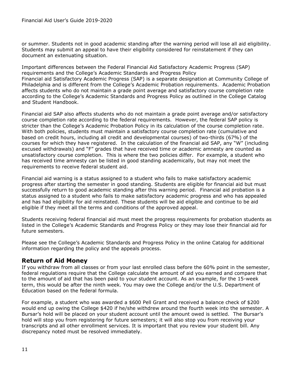or summer. Students not in good academic standing after the warning period will lose all aid eligibility. Students may submit an appeal to have their eligibility considered for reinstatement if they can document an extenuating situation.

Important differences between the Federal Financial Aid Satisfactory Academic Progress (SAP) requirements and the College's Academic Standards and Progress Policy Financial aid Satisfactory Academic Progress (SAP) is a separate designation at Community College of Philadelphia and is different from the College's Academic Probation requirements. Academic Probation affects students who do not maintain a grade point average and satisfactory course completion rate according to the College's Academic Standards and Progress Policy as outlined in the College Catalog and Student Handbook.

Financial aid SAP also affects students who do not maintain a grade point average and/or satisfactory course completion rate according to the federal requirements. However, the federal SAP policy is stricter than the College's Academic Probation Policy in its calculation of the course completion rate. With both policies, students must maintain a satisfactory course completion rate (cumulative and based on credit hours, including all credit and developmental courses) of two-thirds (67%) of the courses for which they have registered. In the calculation of the financial aid SAP, any "W" (including excused withdrawals) and "F" grades that have received time or academic amnesty are counted as unsatisfactory course completion. This is where the two policies differ. For example, a student who has received time amnesty can be listed in good standing academically, but may not meet the requirements to receive federal student aid.

Financial aid warning is a status assigned to a student who fails to make satisfactory academic progress after starting the semester in good standing. Students are eligible for financial aid but must successfully return to good academic standing after this warning period. Financial aid probation is a status assigned to a student who fails to make satisfactory academic progress and who has appealed and has had eligibility for aid reinstated. These students will be aid eligible and continue to be aid eligible if they meet all the terms and conditions of the approved appeal.

Students receiving federal financial aid must meet the progress requirements for probation students as listed in the College's Academic Standards and Progress Policy or they may lose their financial aid for future semesters.

Please see the College's Academic Standards and Progress Policy in the online Catalog for additional information regarding the policy and the appeals process.

# **Return of Aid Money**

If you withdraw from all classes or from your last enrolled class before the 60% point in the semester, federal regulations require that the College calculate the amount of aid you earned and compare that to the amount of aid that has been paid to your student account. As an example, for the 15-week term, this would be after the ninth week. You may owe the College and/or the U.S. Department of Education based on the federal formula.

For example, a student who was awarded a \$600 Pell Grant and received a balance check of \$200 would end up owing the College \$420 if he/she withdrew around the fourth week into the semester. A Bursar's hold will be placed on your student account until the amount owed is settled. The Bursar's hold will stop you from registering for future semesters; it will also stop you from receiving your transcripts and all other enrollment services. It is important that you review your student bill. Any discrepancy noted must be resolved immediately.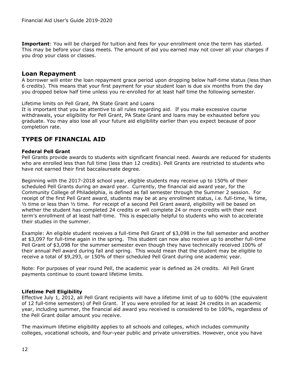**Important**: You will be charged for tuition and fees for your enrollment once the term has started. This may be before your class meets. The amount of aid you earned may not cover all your charges if you drop your class or classes.

## **Loan Repayment**

A borrower will enter the loan repayment grace period upon dropping below half-time status (less than 6 credits). This means that your first payment for your student loan is due six months from the day you dropped below half time unless you re-enrolled for at least half time the following semester.

Lifetime limits on Pell Grant, PA State Grant and Loans

It is important that you be attentive to all rules regarding aid. If you make excessive course withdrawals, your eligibility for Pell Grant, PA State Grant and loans may be exhausted before you graduate. You may also lose all your future aid eligibility earlier than you expect because of poor completion rate.

# **TYPES OF FINANCIAL AID**

#### **Federal Pell Grant**

Pell Grants provide awards to students with significant financial need. Awards are reduced for students who are enrolled less than full time (less than 12 credits). Pell Grants are restricted to students who have not earned their first baccalaureate degree.

Beginning with the 2017-2018 school year, eligible students may receive up to 150% of their scheduled Pell Grants during an award year. Currently, the financial aid award year, for the Community College of Philadelphia, is defined as fall semester through the Summer 2 session. For receipt of the first Pell Grant award, students may be at any enrollment status, i.e. full-time, ¾ time, ½ time or less than ½ time. For receipt of a second Pell Grant award, eligibility will be based on whether the student has completed 24 credits or will complete 24 or more credits with their next term's enrollment of at least half-time. This is especially helpful to students who wish to accelerate their studies in the summer.

Example: An eligible student receives a full-time Pell Grant of \$3,098 in the fall semester and another at \$3,097 for full-time again in the spring. This student can now also receive up to another full-time Pell Grant of \$3,098 for the summer semester even though they have technically received 100% of their annual Pell award during fall and spring. This would mean that the student may be eligible to receive a total of \$9,293, or 150% of their scheduled Pell Grant during one academic year.

Note: For purposes of year round Pell, the academic year is defined as 24 credits. All Pell Grant payments continue to count toward lifetime limits.

## **Lifetime Pell Eligibility**

Effective July 1, 2012, all Pell Grant recipients will have a lifetime limit of up to 600% (the equivalent of 12 full-time semesters) of Pell Grant. If you were enrolled for at least 24 credits in an academic year, including summer, the financial aid award you received is considered to be 100%, regardless of the Pell Grant dollar amount you receive.

The maximum lifetime eligibility applies to all schools and colleges, which includes community colleges, vocational schools, and four-year public and private universities. However, once you have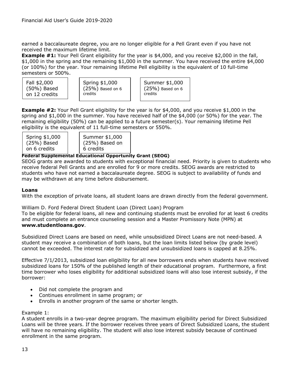earned a baccalaureate degree, you are no longer eligible for a Pell Grant even if you have not received the maximum lifetime limit.

**Example #1:** Your Pell Grant eligibility for the year is \$4,000, and you receive \$2,000 in the fall, \$1,000 in the spring and the remaining \$1,000 in the summer. You have received the entire \$4,000 (or 100%) for the year. Your remaining lifetime Pell eligibility is the equivalent of 10 full-time semesters or 500%.

| Spring \$1,000<br>Fall \$2,000<br>$(25\%)$ Based on 6<br>(50%) Based<br>credits<br>on 12 credits | Summer \$1,000<br>$(25%)$ Based on 6<br>credits |
|--------------------------------------------------------------------------------------------------|-------------------------------------------------|
|--------------------------------------------------------------------------------------------------|-------------------------------------------------|

**Example #2:** Your Pell Grant eligibility for the year is for \$4,000, and you receive \$1,000 in the spring and \$1,000 in the summer. You have received half of the \$4,000 (or 50%) for the year. The remaining eligibility (50%) can be applied to a future semester(s). Your remaining lifetime Pell eligibility is the equivalent of 11 full-time semesters or 550%.

| Spring \$1,000 |  |  |
|----------------|--|--|
| $(25%)$ Based  |  |  |
| on 6 credits   |  |  |

Summer \$1,000 (25%) Based on 6 credits

## **Federal Supplemental Educational Opportunity Grant (SEOG)**

SEOG grants are awarded to students with exceptional financial need. Priority is given to students who receive federal Pell Grants and are enrolled for 9 or more credits. SEOG awards are restricted to students who have not earned a baccalaureate degree. SEOG is subject to availability of funds and may be withdrawn at any time before disbursement.

## **Loans**

With the exception of private loans, all student loans are drawn directly from the federal government.

William D. Ford Federal Direct Student Loan (Direct Loan) Program

To be eligible for federal loans, all new and continuing students must be enrolled for at least 6 credits and must complete an entrance counseling session and a Master Promissory Note (MPN) at **[www.studentloans.gov](http://www.studentloans.gov/)**.

Subsidized Direct Loans are based on need, while unsubsidized Direct Loans are not need-based. A student may receive a combination of both loans, but the loan limits listed below (by grade level) cannot be exceeded. The interest rate for subsidized and unsubsidized loans is capped at 8.25%.

Effective 7/1/2013, subsidized loan eligibility for all new borrowers ends when students have received subsidized loans for 150% of the published length of their educational program. Furthermore, a first time borrower who loses eligibility for additional subsidized loans will also lose interest subsidy, if the borrower:

- Did not complete the program and
- Continues enrollment in same program; or
- Enrolls in another program of the same or shorter length.

#### Example 1:

A student enrolls in a two-year degree program. The maximum eligibility period for Direct Subsidized Loans will be three years. If the borrower receives three years of Direct Subsidized Loans, the student will have no remaining eligibility. The student will also lose interest subsidy because of continued enrollment in the same program.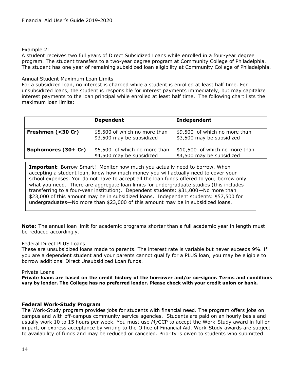#### Example 2:

A student receives two full years of Direct Subsidized Loans while enrolled in a four-year degree program. The student transfers to a two-year degree program at Community College of Philadelphia. The student has one year of remaining subsidized loan eligibility at Community College of Philadelphia.

#### Annual Student Maximum Loan Limits

For a subsidized loan, no interest is charged while a student is enrolled at least half time. For unsubsidized loans, the student is responsible for interest payments immediately, but may capitalize interest payments to the loan principal while enrolled at least half time. The following chart lists the maximum loan limits:

|                     | <b>Dependent</b>                                           | Independent                                                 |
|---------------------|------------------------------------------------------------|-------------------------------------------------------------|
| Freshmen (<30 Cr)   | \$5,500 of which no more than<br>\$3,500 may be subsidized | \$9,500 of which no more than<br>\$3,500 may be subsidized  |
| Sophomores (30+ Cr) | \$6,500 of which no more than<br>\$4,500 may be subsidized | \$10,500 of which no more than<br>\$4,500 may be subsidized |

**Important**: Borrow Smart! Monitor how much you actually need to borrow. When accepting a student loan, know how much money you will actually need to cover your school expenses. You do not have to accept all the loan funds offered to you; borrow only what you need. There are aggregate loan limits for undergraduate studies (this includes transferring to a four-year institution). Dependent students: \$31,000—No more than \$23,000 of this amount may be in subsidized loans. Independent students: \$57,500 for undergraduates—No more than \$23,000 of this amount may be in subsidized loans.

**Note**: The annual loan limit for academic programs shorter than a full academic year in length must be reduced accordingly.

#### Federal Direct PLUS Loans

These are unsubsidized loans made to parents. The interest rate is variable but never exceeds 9%. If you are a dependent student and your parents cannot qualify for a PLUS loan, you may be eligible to borrow additional Direct Unsubsidized Loan funds.

#### Private Loans

**Private loans are based on the credit history of the borrower and/or co-signer. Terms and conditions vary by lender. The College has no preferred lender. Please check with your credit union or bank.**

#### **Federal Work-Study Program**

The Work-Study program provides jobs for students with financial need. The program offers jobs on campus and with off-campus community service agencies. Students are paid on an hourly basis and usually work 10 to 15 hours per week. You must use *My*CCP to accept the Work-Study award in full or in part, or express acceptance by writing to the Office of Financial Aid. Work-Study awards are subject to availability of funds and may be reduced or canceled. Priority is given to students who submitted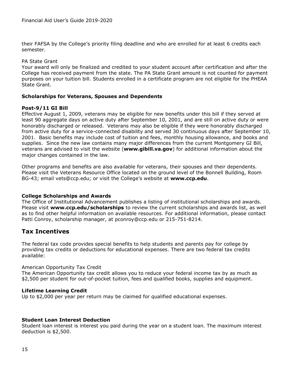their FAFSA by the College's priority filing deadline and who are enrolled for at least 6 credits each semester.

#### PA State Grant

Your award will only be finalized and credited to your student account after certification and after the College has received payment from the state. The PA State Grant amount is not counted for payment purposes on your tuition bill. Students enrolled in a certificate program are not eligible for the PHEAA State Grant.

## **Scholarships for Veterans, Spouses and Dependents**

## **Post-9/11 GI Bill**

Effective August 1, 2009, veterans may be eligible for new benefits under this bill if they served at least 90 aggregate days on active duty after September 10, 2001, and are still on active duty or were honorably discharged or released. Veterans may also be eligible if they were honorably discharged from active duty for a service-connected disability and served 30 continuous days after September 10, 2001. Basic benefits may include cost of tuition and fees, monthly housing allowance, and books and supplies. Since the new law contains many major differences from the current Montgomery GI Bill, veterans are advised to visit the website (**[www.gibill.va.gov](http://www.gibill.va.gov/)**) for additional information about the major changes contained in the law.

Other programs and benefits are also available for veterans, their spouses and their dependents. Please visit the Veterans Resource Office located on the ground level of the Bonnell Building, Room BG-43; email [vets@ccp.edu;](mailto:vets@ccp.edu) or visit the College's website at **[www.ccp.edu](http://www.ccp.edu/)**.

#### **College Scholarships and Awards**

The Office of Institutional Advancement publishes a listing of institutional scholarships and awards. Please visit **[www.ccp.edu/scholarships](http://www.ccp.edu/scholarships)** to review the current scholarships and awards list, as well as to find other helpful information on available resources. For additional information, please contact Patti Conroy, scholarship manager, at [pconroy@ccp.edu](mailto:pconroy@ccp.edu) or 215-751-8214.

## **Tax Incentives**

The federal tax code provides special benefits to help students and parents pay for college by providing tax credits or deductions for educational expenses. There are two federal tax credits available:

#### American Opportunity Tax Credit

The American Opportunity tax credit allows you to reduce your federal income tax by as much as \$2,500 per student for out-of-pocket tuition, fees and qualified books, supplies and equipment.

## **Lifetime Learning Credit**

Up to \$2,000 per year per return may be claimed for qualified educational expenses.

#### **Student Loan Interest Deduction**

Student loan interest is interest you paid during the year on a student loan. The maximum interest deduction is \$2,500.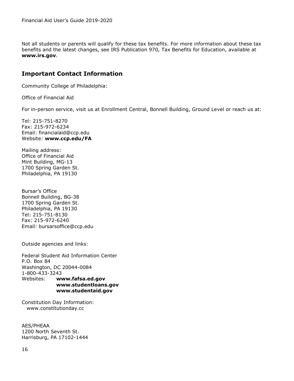Not all students or parents will qualify for these tax benefits. For more information about these tax benefits and the latest changes, see IRS Publication 970, Tax Benefits for Education, available at **www.irs.gov**.

# **Important Contact Information**

Community College of Philadelphia:

Office of Financial Aid

For in-person service, visit us at Enrollment Central, Bonnell Building, Ground Level or reach us at:

Tel: 215-751-8270 Fax: 215-972-6234 Email: [financialaid@ccp.edu](mailto:financialaid@ccp.edu) Website: **[www.ccp.edu/](http://www.ccp.edu/)FA**

Mailing address: Office of Financial Aid Mint Building, MG-13 1700 Spring Garden St. Philadelphia, PA 19130

Bursar's Office Bonnell Building, BG-38 1700 Spring Garden St. Philadelphia, PA 19130 Tel: 215-751-8130 Fax: 215-972-6240 Email: bursarsoffice@ccp.edu

Outside agencies and links:

Federal Student Aid Information Center P.O. Box 84 Washington, DC 20044-0084 1-800-433-3243 Websites: **[www.fafsa.ed.gov](http://www.fafsa.ed.gov/) [www.studentloans.gov](http://www.studentloans.gov/) www.studentaid.gov**

Constitution Day Information: www.constitutionday.cc

AES/PHEAA 1200 North Seventh St. Harrisburg, PA 17102-1444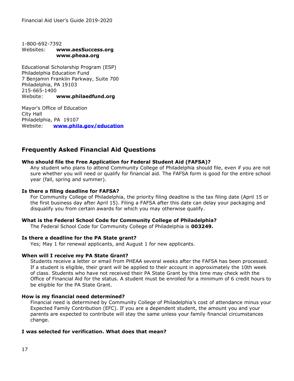1-800-692-7392 Websites: **[www.aesSuccess.org](http://www.aessuccess.org/) [www.pheaa.org](http://www.pheaa.org/)**

Educational Scholarship Program (ESP) Philadelphia Education Fund 7 Benjamin Franklin Parkway, Suite 700 Philadelphia, PA 19103 215-665-1400 Website: **www.philaedfund.org**

Mayor's Office of Education City Hall Philadelphia, PA 19107 Website: **[www.phila.gov/education](http://www.phila.gov/education)**

# **Frequently Asked Financial Aid Questions**

#### **Who should file the Free Application for Federal Student Aid (FAFSA)?**

Any student who plans to attend Community College of Philadelphia should file, even if you are not sure whether you will need or qualify for financial aid. The FAFSA form is good for the entire school year (fall, spring and summer).

#### **Is there a filing deadline for FAFSA?**

For Community College of Philadelphia, the priority filing deadline is the tax filing date (April 15 or the first business day after April 15). Filing a FAFSA after this date can delay your packaging and disqualify you from certain awards for which you may otherwise qualify.

#### **What is the Federal School Code for Community College of Philadelphia?**

The Federal School Code for Community College of Philadelphia is **003249.**

#### **Is there a deadline for the PA State grant?**

Yes; May 1 for renewal applicants, and August 1 for new applicants.

#### **When will I receive my PA State Grant?**

Students receive a letter or email from PHEAA several weeks after the FAFSA has been processed. If a student is eligible, their grant will be applied to their account in approximately the 10th week of class. Students who have not received their PA State Grant by this time may check with the Office of Financial Aid for the status. A student must be enrolled for a minimum of 6 credit hours to be eligible for the PA State Grant.

#### **How is my financial need determined?**

Financial need is determined by Community College of Philadelphia's cost of attendance minus your Expected Family Contribution (EFC). If you are a dependent student, the amount you and your parents are expected to contribute will stay the same unless your family financial circumstances change.

#### **I was selected for verification. What does that mean?**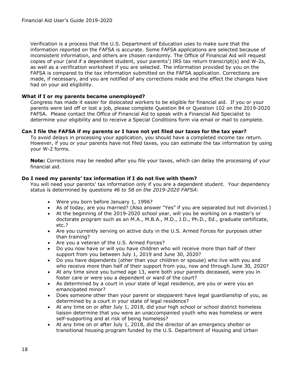Verification is a process that the U.S. Department of Education uses to make sure that the information reported on the FAFSA is accurate. Some FAFSA applications are selected because of inconsistent information, and others are chosen randomly. The Office of Financial Aid will request copies of your (and if a dependent student, your parents') IRS tax return transcript(s) and W-2s, as well as a verification worksheet if you are selected. The information provided by you on the FAFSA is compared to the tax information submitted on the FAFSA application. Corrections are made, if necessary, and you are notified of any corrections made and the effect the changes have had on your aid eligibility.

#### **What if I or my parents became unemployed?**

Congress has made it easier for dislocated workers to be eligible for financial aid. If you or your parents were laid off or lost a job, please complete Question 84 or Question 102 on the 2019-2020 FAFSA. Please contact the Office of Financial Aid to speak with a Financial Aid Specialist to determine your eligibility and to receive a Special Conditions form via email or mail to complete.

#### **Can I file the FAFSA if my parents or I have not yet filed our taxes for the tax year?**

To avoid delays in processing your application, you should have a completed income tax return. However, if you or your parents have not filed taxes, you can estimate the tax information by using your W-2 forms.

**Note:** Corrections may be needed after you file your taxes, which can delay the processing of your financial aid.

#### **Do I need my parents' tax information if I do not live with them?**

You will need your parents' tax information only if you are a dependent student. Your dependency status is determined by questions *46 to 58 on the 2019-2020 FAFSA*:

- Were you born before January 1, 1996?
- As of today, are you married? (Also answer "Yes" if you are separated but not divorced.)
- At the beginning of the 2019-2020 school year, will you be working on a master's or doctorate program such as an M.A., M.B.A., M.D., J.D., Ph.D., Ed., graduate certificate, etc.?
- Are you currently serving on active duty in the U.S. Armed Forces for purposes other than training?
- Are you a veteran of the U.S. Armed Forces?
- Do you now have or will you have children who will receive more than half of their support from you between July 1, 2019 and June 30, 2020?
- Do you have dependents (other than your children or spouse) who live with you and who receive more than half of their support from you, now and through June 30, 2020?
- At any time since you turned age 13, were both your parents deceased, were you in foster care or were you a dependent or ward of the court?
- As determined by a court in your state of legal residence, are you or were you an emancipated minor?
- Does someone other than your parent or stepparent have legal guardianship of you, as determined by a court in your state of legal residence?
- At any time on or after July 1, 2018, did your high school or school district homeless liaison determine that you were an unaccompanied youth who was homeless or were self-supporting and at risk of being homeless?
- At any time on or after July 1, 2018, did the director of an emergency shelter or transitional housing program funded by the U.S. Department of Housing and Urban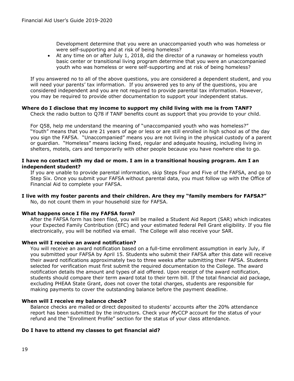Development determine that you were an unaccompanied youth who was homeless or were self-supporting and at risk of being homeless?

• At any time on or after July 1, 2018, did the director of a runaway or homeless youth basic center or transitional living program determine that you were an unaccompanied youth who was homeless or were self-supporting and at risk of being homeless?

If you answered no to all of the above questions, you are considered a dependent student, and you will need your parents' tax information. If you answered yes to any of the questions, you are considered independent and you are not required to provide parental tax information. However, you may be required to provide other documentation to support your independent status.

#### **Where do I disclose that my income to support my child living with me is from TANF?**

Check the radio button to Q78 if TANF benefits count as support that you provide to your child.

For Q58, help me understand the meaning of "unaccompanied youth who was homeless?" "Youth" means that you are 21 years of age or less or are still enrolled in high school as of the day you sign the FAFSA. "Unaccompanied" means you are not living in the physical custody of a parent or guardian. "Homeless" means lacking fixed, regular and adequate housing, including living in shelters, motels, cars and temporarily with other people because you have nowhere else to go.

#### **I have no contact with my dad or mom. I am in a transitional housing program. Am I an independent student?**

If you are unable to provide parental information, skip Steps Four and Five of the FAFSA, and go to Step Six. Once you submit your FAFSA without parental data, you must follow up with the Office of Financial Aid to complete your FAFSA.

#### **I live with my foster parents and their children. Are they my "family members for FAFSA?"**

No, do not count them in your household size for FAFSA.

#### **What happens once I file my FAFSA form?**

After the FAFSA form has been filed, you will be mailed a Student Aid Report (SAR) which indicates your Expected Family Contribution (EFC) and your estimated federal Pell Grant eligibility. If you file electronically, you will be notified via email. The College will also receive your SAR.

#### **When will I receive an award notification?**

You will receive an award notification based on a full-time enrollment assumption in early July, if you submitted your FAFSA by April 15. Students who submit their FAFSA after this date will receive their award notifications approximately two to three weeks after submitting their FAFSA. Students selected for verification must first submit the required documentation to the College. The award notification details the amount and types of aid offered. Upon receipt of the award notification, students should compare their term award total to their term bill. If the total financial aid package, excluding PHEAA State Grant, does not cover the total charges, students are responsible for making payments to cover the outstanding balance before the payment deadline.

#### **When will I receive my balance check?**

Balance checks are mailed or direct deposited to students' accounts after the 20% attendance report has been submitted by the instructors. Check your *My*CCP account for the status of your refund and the "Enrollment Profile" section for the status of your class attendance.

#### **Do I have to attend my classes to get financial aid?**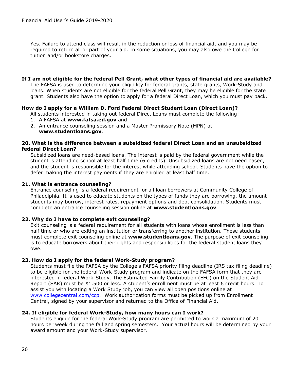Yes. Failure to attend class will result in the reduction or loss of financial aid, and you may be required to return all or part of your aid. In some situations, you may also owe the College for tuition and/or bookstore charges.

**If I am not eligible for the federal Pell Grant, what other types of financial aid are available?** The FAFSA is used to determine your eligibility for federal grants, state grants, Work-Study and loans. When students are not eligible for the federal Pell Grant, they may be eligible for the state grant. Students also have the option to apply for a federal Direct Loan, which you must pay back.

#### **How do I apply for a William D. Ford Federal Direct Student Loan (Direct Loan)?**

All students interested in taking out federal Direct Loans must complete the following:

- 1. A FAFSA at **[www.fafsa.ed.gov](http://www.fafsa.ed.gov/)** and
- 2. An entrance counseling session and a Master Promissory Note (MPN) at **[www.studentloans.gov](http://www.studentloans.gov/)**.

#### **20. What is the difference between a subsidized federal Direct Loan and an unsubsidized federal Direct Loan?**

Subsidized loans are need-based loans. The interest is paid by the federal government while the student is attending school at least half time (6 credits). Unsubsidized loans are not need based, and the student is responsible for the interest while attending school. Students have the option to defer making the interest payments if they are enrolled at least half time.

#### **21. What is entrance counseling?**

Entrance counseling is a federal requirement for all loan borrowers at Community College of Philadelphia. It is used to educate students on the types of funds they are borrowing, the amount students may borrow, interest rates, repayment options and debt consolidation. Students must complete an entrance counseling session online at **[www.studentloans.gov](http://www.studentloans.gov/)**.

#### **22. Why do I have to complete exit counseling?**

Exit counseling is a federal requirement for all students with loans whose enrollment is less than half time or who are exiting an institution or transferring to another institution. These students must complete exit counseling online at **[www.studentloans.gov](http://www.studentloans.gov/)**. The purpose of exit counseling is to educate borrowers about their rights and responsibilities for the federal student loans they owe.

#### **23. How do I apply for the federal Work-Study program?**

Students must file the FAFSA by the College's FAFSA priority filing deadline (IRS tax filing deadline) to be eligible for the federal Work-Study program and indicate on the FAFSA form that they are interested in federal Work-Study. The Estimated Family Contribution (EFC) on the Student Aid Report (SAR) must be \$1,500 or less. A student's enrollment must be at least 6 credit hours. To assist you with locating a Work Study job, you can view all open positions online at [www.collegecentral.com/ccp.](http://www.collegecentral.com/ccp) Work authorization forms must be picked up from Enrollment Central, signed by your supervisor and returned to the Office of Financial Aid.

#### **24. If eligible for federal Work-Study, how many hours can I work?**

Students eligible for the federal Work-Study program are permitted to work a maximum of 20 hours per week during the fall and spring semesters. Your actual hours will be determined by your award amount and your Work-Study supervisor.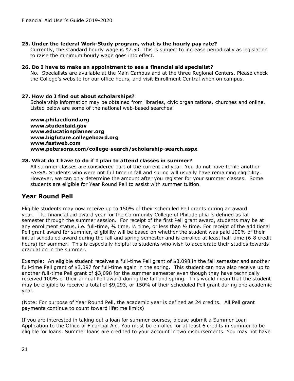## **25. Under the federal Work-Study program, what is the hourly pay rate?**

Currently, the standard hourly wage is \$7.50. This is subject to increase periodically as legislation to raise the minimum hourly wage goes into effect.

#### **26. Do I have to make an appointment to see a financial aid specialist?**

No. Specialists are available at the Main Campus and at the three Regional Centers. Please check the College's website for our office hours, and visit Enrollment Central when on campus.

## **27. How do I find out about scholarships?**

Scholarship information may be obtained from libraries, civic organizations, churches and online. Listed below are some of the national web-based searches:

**www.philaedfund.org www.studentaid.gov [www.educationplanner.o](http://www.educationplanner.com/)rg www.bigfuture.collegeboard.org [www.fastweb.com](http://www.fastweb.com/) www.petersons.com/college-search/scholarship-search.aspx**

## **28. What do I have to do if I plan to attend classes in summer?**

All summer classes are considered part of the current aid year. You do not have to file another FAFSA. Students who were not full time in fall and spring will usually have remaining eligibility. However, we can only determine the amount after you register for your summer classes. Some students are eligible for Year Round Pell to assist with summer tuition.

# **Year Round Pell**

Eligible students may now receive up to 150% of their scheduled Pell grants during an award year. The financial aid award year for the Community College of Philadelphia is defined as fall semester through the summer session. For receipt of the first Pell grant award, students may be at any enrollment status, i.e. full-time, ¾ time, ½ time, or less than ½ time. For receipt of the additional Pell grant award for summer, eligibility will be based on whether the student was paid 100% of their initial scheduled award during the fall and spring semester and is enrolled at least half-time (6-8 credit hours) for summer. This is especially helpful to students who wish to accelerate their studies towards graduation in the summer.

Example: An eligible student receives a full-time Pell grant of \$3,098 in the fall semester and another full-time Pell grant of \$3,097 for full-time again in the spring. This student can now also receive up to another full-time Pell grant of \$3,098 for the summer semester even though they have technically received 100% of their annual Pell award during the fall and spring. This would mean that the student may be eligible to receive a total of \$9,293, or 150% of their scheduled Pell grant during one academic year.

(Note: For purpose of Year Round Pell, the academic year is defined as 24 credits. All Pell grant payments continue to count toward lifetime limits).

If you are interested in taking out a loan for summer courses, please submit a Summer Loan Application to the Office of Financial Aid. You must be enrolled for at least 6 credits in summer to be eligible for loans. Summer loans are credited to your account in two disbursements. You may not have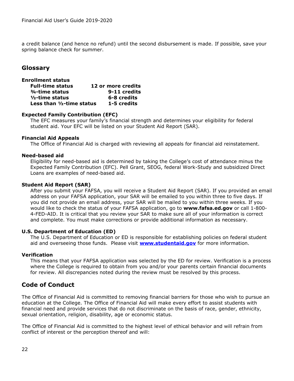a credit balance (and hence no refund) until the second disbursement is made. If possible, save your spring balance check for summer.

# **Glossary**

| <b>Enrollment status</b>     |                    |
|------------------------------|--------------------|
| <b>Full-time status</b>      | 12 or more credits |
| 3/4-time status              | 9-11 credits       |
| $1/2$ -time status           | 6-8 credits        |
| Less than $1/2$ -time status | 1-5 credits        |

#### **Expected Family Contribution (EFC)**

The EFC measures your family's financial strength and determines your eligibility for federal student aid. Your EFC will be listed on your Student Aid Report (SAR).

#### **Financial Aid Appeals**

The Office of Financial Aid is charged with reviewing all appeals for financial aid reinstatement.

#### **Need-based aid**

Eligibility for need-based aid is determined by taking the College's cost of attendance minus the Expected Family Contribution (EFC). Pell Grant, SEOG, federal Work-Study and subsidized Direct Loans are examples of need-based aid.

#### **Student Aid Report (SAR)**

After you submit your FAFSA, you will receive a Student Aid Report (SAR). If you provided an email address on your FAFSA application, your SAR will be emailed to you within three to five days. If you did not provide an email address, your SAR will be mailed to you within three weeks. If you would like to check the status of your FAFSA application, go to **www.fafsa.ed.gov** or call 1-800- 4-FED-AID. It is critical that you review your SAR to make sure all of your information is correct and complete. You must make corrections or provide additional information as necessary.

#### **U.S. Department of Education (ED)**

The U.S. Department of Education or ED is responsible for establishing policies on federal student aid and overseeing those funds. Please visit **[www.studentaid.gov](http://www.studentaid.gov/)** for more information.

#### **Verification**

This means that your FAFSA application was selected by the ED for review. Verification is a process where the College is required to obtain from you and/or your parents certain financial documents for review. All discrepancies noted during the review must be resolved by this process.

# **Code of Conduct**

The Office of Financial Aid is committed to removing financial barriers for those who wish to pursue an education at the College. The Office of Financial Aid will make every effort to assist students with financial need and provide services that do not discriminate on the basis of race, gender, ethnicity, sexual orientation, religion, disability, age or economic status.

The Office of Financial Aid is committed to the highest level of ethical behavior and will refrain from conflict of interest or the perception thereof and will: